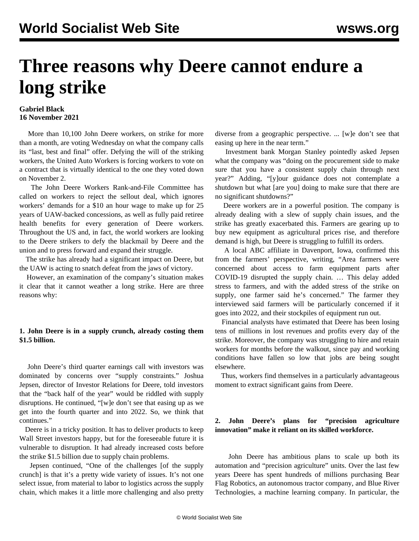# **Three reasons why Deere cannot endure a long strike**

#### **Gabriel Black 16 November 2021**

 More than 10,100 John Deere workers, on strike for more than a month, are voting Wednesday on what the company calls its "last, best and final" offer. Defying the will of the striking workers, the United Auto Workers is forcing workers to vote on a contract that is virtually identical to the one they voted down on November 2.

 The [John Deere Workers Rank-and-File Committee](/en/articles/2021/11/14/deer-n14.html) has called on workers to reject the sellout deal, which ignores workers' demands for a \$10 an hour wage to make up for 25 years of UAW-backed concessions, as well as fully paid retiree health benefits for every generation of Deere workers. Throughout the [US](/en/articles/2021/11/11/detr-n11.html) and, in fact, the [world](/en/articles/2021/11/11/orle-n11.html) workers are looking to the Deere strikers to defy the blackmail by Deere and the union and to press forward and expand their struggle.

 The strike has already had a significant impact on Deere, but the UAW is acting to snatch defeat from the jaws of victory.

 However, an examination of the company's situation makes it clear that it cannot weather a long strike. Here are three reasons why:

## **1. John Deere is in a supply crunch, already costing them \$1.5 billion.**

 John Deere's third quarter earnings call with investors was dominated by concerns over "supply constraints." Joshua Jepsen, director of Investor Relations for Deere, told investors that the "back half of the year" would be riddled with supply disruptions. He continued, "[w]e don't see that easing up as we get into the fourth quarter and into 2022. So, we think that continues."

 Deere is in a tricky position. It has to deliver products to keep Wall Street investors happy, but for the foreseeable future it is vulnerable to disruption. It had already increased costs before the strike \$1.5 billion due to supply chain problems.

 Jepsen continued, "One of the challenges [of the supply crunch] is that it's a pretty wide variety of issues. It's not one select issue, from material to labor to logistics across the supply chain, which makes it a little more challenging and also pretty

diverse from a geographic perspective. ... [w]e don't see that easing up here in the near term."

 Investment bank Morgan Stanley pointedly asked Jepsen what the company was "doing on the procurement side to make sure that you have a consistent supply chain through next year?" Adding, "[y]our guidance does not contemplate a shutdown but what [are you] doing to make sure that there are no significant shutdowns?"

 Deere workers are in a powerful position. The company is already dealing with a slew of supply chain issues, and the strike has greatly exacerbated this. Farmers are gearing up to buy new equipment as agricultural prices rise, and therefore demand is high, but Deere is struggling to fulfill its orders.

 A local ABC affiliate in Davenport, Iowa, confirmed this from the farmers' perspective, writing, "Area farmers were concerned about access to farm equipment parts after COVID-19 disrupted the supply chain. … This delay added stress to farmers, and with the added stress of the strike on supply, one farmer said he's concerned." The farmer they interviewed said farmers will be particularly concerned if it goes into 2022, and their stockpiles of equipment run out.

 Financial analysts have estimated that Deere has been losing tens of millions in lost revenues and profits every day of the strike. Moreover, the company was struggling to hire and retain workers for months before the walkout, since pay and working conditions have fallen so low that jobs are being sought elsewhere.

 Thus, workers find themselves in a particularly advantageous moment to extract significant gains from Deere.

## **2. John Deere's plans for "precision agriculture innovation" make it reliant on its skilled workforce.**

 John Deere has ambitious plans to scale up both its automation and "precision agriculture" units. Over the last few years Deere has spent hundreds of millions purchasing Bear Flag Robotics, an autonomous tractor company, and Blue River Technologies, a machine learning company. In particular, the